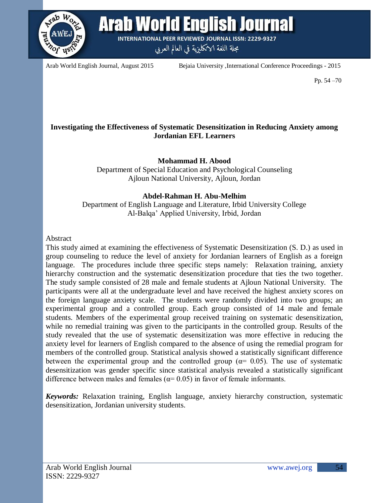

**Arab World English Journal** 

**INTERNATIONAL PEER REVIEWED JOURNAL ISSN: 2229-9327** 

مجلة اللغة الانكليزية في العالم العربي

Arab World English Journal, August 2015 Bejaia University ,International Conference Proceedings - 2015

Pp. 54 –70

# **Investigating the Effectiveness of Systematic Desensitization in Reducing Anxiety among Jordanian EFL Learners**

# **Mohammad H. Abood**

Department of Special Education and Psychological Counseling Ajloun National University, Ajloun, Jordan

# **Abdel-Rahman H. Abu-Melhim**

Department of English Language and Literature, Irbid University College Al-Balqa' Applied University, Irbid, Jordan

## Abstract

This study aimed at examining the effectiveness of Systematic Desensitization (S. D.) as used in group counseling to reduce the level of anxiety for Jordanian learners of English as a foreign language. The procedures include three specific steps namely: Relaxation training, anxiety hierarchy construction and the systematic desensitization procedure that ties the two together. The study sample consisted of 28 male and female students at Ajloun National University. The participants were all at the undergraduate level and have received the highest anxiety scores on the foreign language anxiety scale. The students were randomly divided into two groups; an experimental group and a controlled group. Each group consisted of 14 male and female students. Members of the experimental group received training on systematic desensitization, while no remedial training was given to the participants in the controlled group. Results of the study revealed that the use of systematic desensitization was more effective in reducing the anxiety level for learners of English compared to the absence of using the remedial program for members of the controlled group. Statistical analysis showed a statistically significant difference between the experimental group and the controlled group ( $\alpha$ = 0.05). The use of systematic desensitization was gender specific since statistical analysis revealed a statistically significant difference between males and females ( $\alpha$ = 0.05) in favor of female informants.

*Keywords:* Relaxation training, English language, anxiety hierarchy construction, systematic desensitization, Jordanian university students.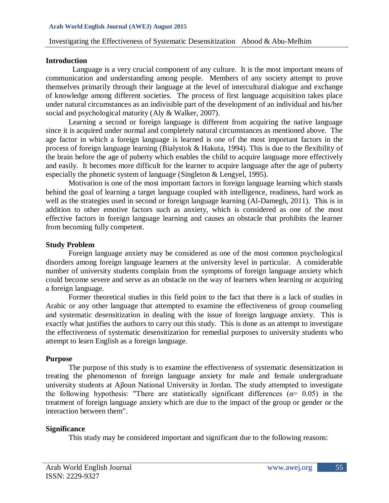### **Introduction**

 Language is a very crucial component of any culture. It is the most important means of communication and understanding among people. Members of any society attempt to prove themselves primarily through their language at the level of intercultural dialogue and exchange of knowledge among different societies. The process of first language acquisition takes place under natural circumstances as an indivisible part of the development of an individual and his/her social and psychological maturity (Aly & Walker, 2007).

Learning a second or foreign language is different from acquiring the native language since it is acquired under normal and completely natural circumstances as mentioned above. The age factor in which a foreign language is learned is one of the most important factors in the process of foreign language learning (Bialystok & Hakuta, 1994). This is due to the flexibility of the brain before the age of puberty which enables the child to acquire language more effectively and easily. It becomes more difficult for the learner to acquire language after the age of puberty especially the phonetic system of language (Singleton & Lengyel, 1995).

Motivation is one of the most important factors in foreign language learning which stands behind the goal of learning a target language coupled with intelligence, readiness, hard work as well as the strategies used in second or foreign language learning (Al-Damegh, 2011). This is in addition to other emotive factors such as anxiety, which is considered as one of the most effective factors in foreign language learning and causes an obstacle that prohibits the learner from becoming fully competent.

### **Study Problem**

Foreign language anxiety may be considered as one of the most common psychological disorders among foreign language learners at the university level in particular. A considerable number of university students complain from the symptoms of foreign language anxiety which could become severe and serve as an obstacle on the way of learners when learning or acquiring a foreign language.

Former theoretical studies in this field point to the fact that there is a lack of studies in Arabic or any other language that attempted to examine the effectiveness of group counseling and systematic desensitization in dealing with the issue of foreign language anxiety. This is exactly what justifies the authors to carry out this study. This is done as an attempt to investigate the effectiveness of systematic desensitization for remedial purposes to university students who attempt to learn English as a foreign language.

### **Purpose**

The purpose of this study is to examine the effectiveness of systematic desensitization in treating the phenomenon of foreign language anxiety for male and female undergraduate university students at Ajloun National University in Jordan. The study attempted to investigate the following hypothesis: "There are statistically significant differences ( $\alpha$ = 0.05) in the treatment of foreign language anxiety which are due to the impact of the group or gender or the interaction between them".

### **Significance**

This study may be considered important and significant due to the following reasons: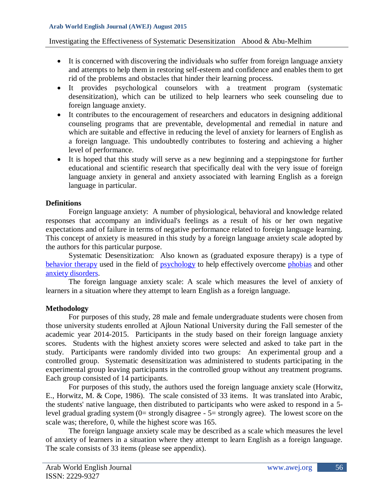## Investigating the Effectiveness of Systematic Desensitization Abood & Abu-Melhim

- It is concerned with discovering the individuals who suffer from foreign language anxiety and attempts to help them in restoring self-esteem and confidence and enables them to get rid of the problems and obstacles that hinder their learning process.
- It provides psychological counselors with a treatment program (systematic desensitization), which can be utilized to help learners who seek counseling due to foreign language anxiety.
- It contributes to the encouragement of researchers and educators in designing additional counseling programs that are preventable, developmental and remedial in nature and which are suitable and effective in reducing the level of anxiety for learners of English as a foreign language. This undoubtedly contributes to fostering and achieving a higher level of performance.
- It is hoped that this study will serve as a new beginning and a steppingstone for further educational and scientific research that specifically deal with the very issue of foreign language anxiety in general and anxiety associated with learning English as a foreign language in particular.

## **Definitions**

Foreign language anxiety: A number of physiological, behavioral and knowledge related responses that accompany an individual's feelings as a result of his or her own negative expectations and of failure in terms of negative performance related to foreign language learning. This concept of anxiety is measured in this study by a foreign language anxiety scale adopted by the authors for this particular purpose.

Systematic Desensitization: Also known as (graduated exposure therapy) is a type of [behavior therapy](http://en.wikipedia.org/wiki/Behavior_therapy) used in the field of [psychology](http://en.wikipedia.org/wiki/Psychology) to help effectively overcome [phobias](http://en.wikipedia.org/wiki/Phobias) and other [anxiety disorders.](http://en.wikipedia.org/wiki/Anxiety_disorders)

The foreign language anxiety scale: A scale which measures the level of anxiety of learners in a situation where they attempt to learn English as a foreign language.

# **Methodology**

For purposes of this study, 28 male and female undergraduate students were chosen from those university students enrolled at Ajloun National University during the Fall semester of the academic year 2014-2015. Participants in the study based on their foreign language anxiety scores. Students with the highest anxiety scores were selected and asked to take part in the study. Participants were randomly divided into two groups: An experimental group and a controlled group. Systematic desensitization was administered to students participating in the experimental group leaving participants in the controlled group without any treatment programs. Each group consisted of 14 participants.

For purposes of this study, the authors used the foreign language anxiety scale (Horwitz, E., Horwitz, M. & Cope, 1986). The scale consisted of 33 items. It was translated into Arabic, the students' native language, then distributed to participants who were asked to respond in a 5 level gradual grading system (0= strongly disagree - 5= strongly agree). The lowest score on the scale was; therefore, 0, while the highest score was 165.

The foreign language anxiety scale may be described as a scale which measures the level of anxiety of learners in a situation where they attempt to learn English as a foreign language. The scale consists of 33 items (please see appendix).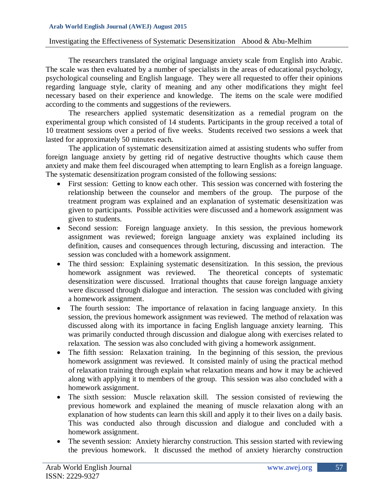#### Investigating the Effectiveness of Systematic Desensitization Abood & Abu-Melhim

The researchers translated the original language anxiety scale from English into Arabic. The scale was then evaluated by a number of specialists in the areas of educational psychology, psychological counseling and English language. They were all requested to offer their opinions regarding language style, clarity of meaning and any other modifications they might feel necessary based on their experience and knowledge. The items on the scale were modified according to the comments and suggestions of the reviewers.

The researchers applied systematic desensitization as a remedial program on the experimental group which consisted of 14 students. Participants in the group received a total of 10 treatment sessions over a period of five weeks. Students received two sessions a week that lasted for approximately 50 minutes each.

The application of systematic desensitization aimed at assisting students who suffer from foreign language anxiety by getting rid of negative destructive thoughts which cause them anxiety and make them feel discouraged when attempting to learn English as a foreign language. The systematic desensitization program consisted of the following sessions:

- First session: Getting to know each other. This session was concerned with fostering the relationship between the counselor and members of the group. The purpose of the treatment program was explained and an explanation of systematic desensitization was given to participants. Possible activities were discussed and a homework assignment was given to students.
- Second session: Foreign language anxiety. In this session, the previous homework assignment was reviewed; foreign language anxiety was explained including its definition, causes and consequences through lecturing, discussing and interaction. The session was concluded with a homework assignment.
- The third session: Explaining systematic desensitization. In this session, the previous homework assignment was reviewed. The theoretical concepts of systematic desensitization were discussed. Irrational thoughts that cause foreign language anxiety were discussed through dialogue and interaction. The session was concluded with giving a homework assignment.
- The fourth session: The importance of relaxation in facing language anxiety. In this session, the previous homework assignment was reviewed. The method of relaxation was discussed along with its importance in facing English language anxiety learning. This was primarily conducted through discussion and dialogue along with exercises related to relaxation. The session was also concluded with giving a homework assignment.
- The fifth session: Relaxation training. In the beginning of this session, the previous homework assignment was reviewed. It consisted mainly of using the practical method of relaxation training through explain what relaxation means and how it may be achieved along with applying it to members of the group. This session was also concluded with a homework assignment.
- The sixth session: Muscle relaxation skill. The session consisted of reviewing the previous homework and explained the meaning of muscle relaxation along with an explanation of how students can learn this skill and apply it to their lives on a daily basis. This was conducted also through discussion and dialogue and concluded with a homework assignment.
- The seventh session: Anxiety hierarchy construction. This session started with reviewing the previous homework. It discussed the method of anxiety hierarchy construction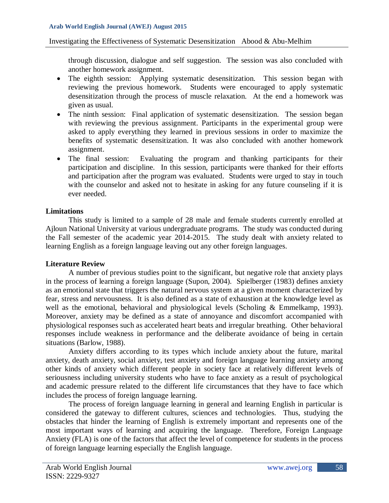### Investigating the Effectiveness of Systematic Desensitization Abood & Abu-Melhim

through discussion, dialogue and self suggestion. The session was also concluded with another homework assignment.

- The eighth session: Applying systematic desensitization. This session began with reviewing the previous homework. Students were encouraged to apply systematic desensitization through the process of muscle relaxation. At the end a homework was given as usual.
- The ninth session: Final application of systematic desensitization. The session began with reviewing the previous assignment. Participants in the experimental group were asked to apply everything they learned in previous sessions in order to maximize the benefits of systematic desensitization. It was also concluded with another homework assignment.
- The final session: Evaluating the program and thanking participants for their participation and discipline. In this session, participants were thanked for their efforts and participation after the program was evaluated. Students were urged to stay in touch with the counselor and asked not to hesitate in asking for any future counseling if it is ever needed.

## **Limitations**

This study is limited to a sample of 28 male and female students currently enrolled at Ajloun National University at various undergraduate programs. The study was conducted during the Fall semester of the academic year 2014-2015. The study dealt with anxiety related to learning English as a foreign language leaving out any other foreign languages.

# **Literature Review**

A number of previous studies point to the significant, but negative role that anxiety plays in the process of learning a foreign language (Supon, 2004). Spielberger (1983) defines anxiety as an emotional state that triggers the natural nervous system at a given moment characterized by fear, stress and nervousness. It is also defined as a state of exhaustion at the knowledge level as well as the emotional, behavioral and physiological levels (Scholing & Emmelkamp, 1993). Moreover, anxiety may be defined as a state of annoyance and discomfort accompanied with physiological responses such as accelerated heart beats and irregular breathing. Other behavioral responses include weakness in performance and the deliberate avoidance of being in certain situations (Barlow, 1988).

Anxiety differs according to its types which include anxiety about the future, marital anxiety, death anxiety, social anxiety, test anxiety and foreign language learning anxiety among other kinds of anxiety which different people in society face at relatively different levels of seriousness including university students who have to face anxiety as a result of psychological and academic pressure related to the different life circumstances that they have to face which includes the process of foreign language learning.

The process of foreign language learning in general and learning English in particular is considered the gateway to different cultures, sciences and technologies. Thus, studying the obstacles that hinder the learning of English is extremely important and represents one of the most important ways of learning and acquiring the language. Therefore, Foreign Language Anxiety (FLA) is one of the factors that affect the level of competence for students in the process of foreign language learning especially the English language.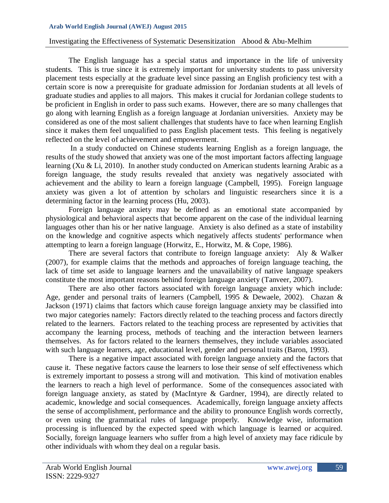#### Investigating the Effectiveness of Systematic Desensitization Abood & Abu-Melhim

The English language has a special status and importance in the life of university students. This is true since it is extremely important for university students to pass university placement tests especially at the graduate level since passing an English proficiency test with a certain score is now a prerequisite for graduate admission for Jordanian students at all levels of graduate studies and applies to all majors. This makes it crucial for Jordanian college students to be proficient in English in order to pass such exams. However, there are so many challenges that go along with learning English as a foreign language at Jordanian universities. Anxiety may be considered as one of the most salient challenges that students have to face when learning English since it makes them feel unqualified to pass English placement tests. This feeling is negatively reflected on the level of achievement and empowerment.

In a study conducted on Chinese students learning English as a foreign language, the results of the study showed that anxiety was one of the most important factors affecting language learning (Xu & Li, 2010). In another study conducted on American students learning Arabic as a foreign language, the study results revealed that anxiety was negatively associated with achievement and the ability to learn a foreign language (Campbell, 1995). Foreign language anxiety was given a lot of attention by scholars and linguistic researchers since it is a determining factor in the learning process (Hu, 2003).

Foreign language anxiety may be defined as an emotional state accompanied by physiological and behavioral aspects that become apparent on the case of the individual learning languages other than his or her native language. Anxiety is also defined as a state of instability on the knowledge and cognitive aspects which negatively affects students' performance when attempting to learn a foreign language (Horwitz, E., Horwitz, M. & Cope, 1986).

There are several factors that contribute to foreign language anxiety: Aly & Walker (2007), for example claims that the methods and approaches of foreign language teaching, the lack of time set aside to language learners and the unavailability of native language speakers constitute the most important reasons behind foreign language anxiety (Tanveer, 2007).

There are also other factors associated with foreign language anxiety which include: Age, gender and personal traits of learners (Campbell, 1995 & Dewaele, 2002). Chazan & Jackson (1971) claims that factors which cause foreign language anxiety may be classified into two major categories namely: Factors directly related to the teaching process and factors directly related to the learners. Factors related to the teaching process are represented by activities that accompany the learning process, methods of teaching and the interaction between learners themselves. As for factors related to the learners themselves, they include variables associated with such language learners, age, educational level, gender and personal traits (Baron, 1993).

There is a negative impact associated with foreign language anxiety and the factors that cause it. These negative factors cause the learners to lose their sense of self effectiveness which is extremely important to possess a strong will and motivation. This kind of motivation enables the learners to reach a high level of performance. Some of the consequences associated with foreign language anxiety, as stated by (MacIntyre & Gardner, 1994), are directly related to academic, knowledge and social consequences. Academically, foreign language anxiety affects the sense of accomplishment, performance and the ability to pronounce English words correctly, or even using the grammatical rules of language properly. Knowledge wise, information processing is influenced by the expected speed with which language is learned or acquired. Socially, foreign language learners who suffer from a high level of anxiety may face ridicule by other individuals with whom they deal on a regular basis.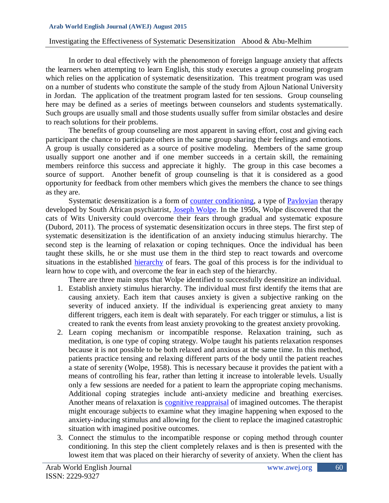### Investigating the Effectiveness of Systematic Desensitization Abood & Abu-Melhim

In order to deal effectively with the phenomenon of foreign language anxiety that affects the learners when attempting to learn English, this study executes a group counseling program which relies on the application of systematic desensitization. This treatment program was used on a number of students who constitute the sample of the study from Ajloun National University in Jordan. The application of the treatment program lasted for ten sessions. Group counseling here may be defined as a series of meetings between counselors and students systematically. Such groups are usually small and those students usually suffer from similar obstacles and desire to reach solutions for their problems.

The benefits of group counseling are most apparent in saving effort, cost and giving each participant the chance to participate others in the same group sharing their feelings and emotions. A group is usually considered as a source of positive modeling. Members of the same group usually support one another and if one member succeeds in a certain skill, the remaining members reinforce this success and appreciate it highly. The group in this case becomes a source of support. Another benefit of group counseling is that it is considered as a good opportunity for feedback from other members which gives the members the chance to see things as they are.

Systematic desensitization is a form of [counter conditioning,](http://en.wikipedia.org/wiki/Counter_conditioning) a type of [Pavlovian](http://en.wikipedia.org/wiki/Pavlovian) therapy developed by South African psychiatrist, [Joseph Wolpe.](http://en.wikipedia.org/wiki/Joseph_Wolpe) In the 1950s, Wolpe discovered that the cats of Wits University could overcome their fears through gradual and systematic exposure (Dubord, 2011). The process of systematic desensitization occurs in three steps. The first step of systematic desensitization is the identification of an anxiety inducing stimulus hierarchy. The second step is the learning of relaxation or coping techniques. Once the individual has been taught these skills, he or she must use them in the third step to react towards and overcome situations in the established [hierarchy](http://en.wikipedia.org/wiki/Hierarchy) of fears. The goal of this process is for the individual to learn how to cope with, and overcome the fear in each step of the hierarchy.

There are three main steps that Wolpe identified to successfully desensitize an individual.

- 1. Establish anxiety stimulus hierarchy. The individual must first identify the items that are causing anxiety. Each item that causes anxiety is given a subjective ranking on the severity of induced anxiety. If the individual is experiencing great anxiety to many different triggers, each item is dealt with separately. For each trigger or stimulus, a list is created to rank the events from least anxiety provoking to the greatest anxiety provoking.
- 2. Learn coping mechanism or incompatible response. Relaxation training, such as meditation, is one type of coping strategy. Wolpe taught his patients relaxation responses because it is not possible to be both relaxed and anxious at the same time. In this method, patients practice tensing and relaxing different parts of the body until the patient reaches a state of serenity (Wolpe, 1958). This is necessary because it provides the patient with a means of controlling his fear, rather than letting it increase to intolerable levels. Usually only a few sessions are needed for a patient to learn the appropriate coping mechanisms. Additional coping strategies include anti-anxiety medicine and breathing exercises. Another means of relaxation is [cognitive reappraisal](http://en.wikipedia.org/wiki/Cognitive_reappraisal) of imagined outcomes. The therapist might encourage subjects to examine what they imagine happening when exposed to the anxiety-inducing stimulus and allowing for the client to replace the imagined catastrophic situation with imagined positive outcomes.
- 3. Connect the stimulus to the incompatible response or coping method through counter conditioning. In this step the client completely relaxes and is then is presented with the lowest item that was placed on their hierarchy of severity of anxiety. When the client has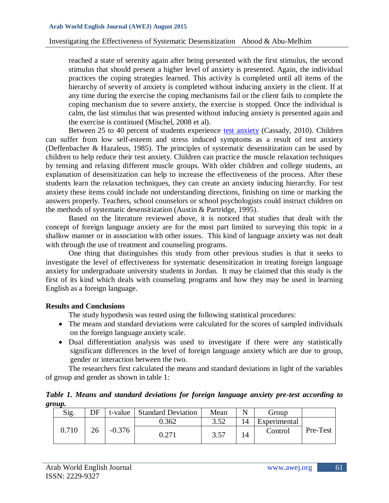reached a state of serenity again after being presented with the first stimulus, the second stimulus that should present a higher level of anxiety is presented. Again, the individual practices the coping strategies learned. This activity is completed until all items of the hierarchy of severity of anxiety is completed without inducing anxiety in the client. If at any time during the exercise the coping mechanisms fail or the client fails to complete the coping mechanism due to severe anxiety, the exercise is stopped. Once the individual is calm, the last stimulus that was presented without inducing anxiety is presented again and the exercise is continued (Mischel, 2008 et al).

Between 25 to 40 percent of students experience [test anxiety](http://en.wikipedia.org/wiki/Test_anxiety) (Cassady, 2010). Children can suffer from low self-esteem and stress induced symptoms as a result of test anxiety (Deffenbacher & Hazaleus, 1985). The principles of systematic desensitization can be used by children to help reduce their test anxiety. Children can practice the muscle relaxation techniques by tensing and relaxing different muscle groups. With older children and college students, an explanation of desensitization can help to increase the effectiveness of the process. After these students learn the relaxation techniques, they can create an anxiety inducing hierarchy. For test anxiety these items could include not understanding directions, finishing on time or marking the answers properly. Teachers, school counselors or school psychologists could instruct children on the methods of systematic desensitization (Austin & Partridge, 1995).

Based on the literature reviewed above, it is noticed that studies that dealt with the concept of foreign language anxiety are for the most part limited to surveying this topic in a shallow manner or in association with other issues. This kind of language anxiety was not dealt with through the use of treatment and counseling programs.

One thing that distinguishes this study from other previous studies is that it seeks to investigate the level of effectiveness for systematic desensitization in treating foreign language anxiety for undergraduate university students in Jordan. It may be claimed that this study is the first of its kind which deals with counseling programs and how they may be used in learning English as a foreign language.

# **Results and Conclusions**

The study hypothesis was tested using the following statistical procedures:

- The means and standard deviations were calculated for the scores of sampled individuals on the foreign language anxiety scale.
- Dual differentiation analysis was used to investigate if there were any statistically significant differences in the level of foreign language anxiety which are due to group, gender or interaction between the two.

The researchers first calculated the means and standard deviations in light of the variables of group and gender as shown in table 1:

|        |  | Table 1. Means and standard deviations for foreign language anxiety pre-test according to |  |  |  |  |
|--------|--|-------------------------------------------------------------------------------------------|--|--|--|--|
| group. |  |                                                                                           |  |  |  |  |

| Sig.  | DF | t-value  | <b>Standard Deviation</b> | Mean |    | Group        |          |
|-------|----|----------|---------------------------|------|----|--------------|----------|
|       |    |          | 0.362                     | 352  |    | Experimental |          |
| 0.710 | 26 | $-0.376$ | ${0.271}$                 | 3.57 | 14 | Control      | Pre-Test |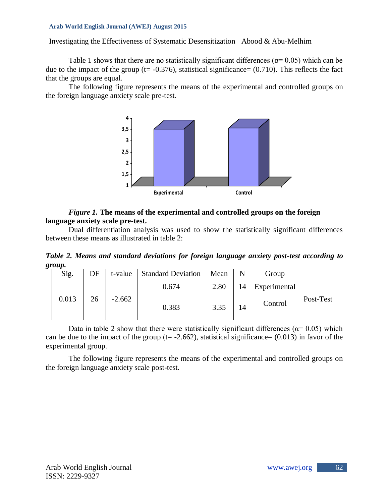## Investigating the Effectiveness of Systematic Desensitization Abood & Abu-Melhim

Table 1 shows that there are no statistically significant differences ( $\alpha$ = 0.05) which can be due to the impact of the group ( $t = -0.376$ ), statistical significance= (0.710). This reflects the fact that the groups are equal.

The following figure represents the means of the experimental and controlled groups on the foreign language anxiety scale pre-test.



### *Figure 1.* **The means of the experimental and controlled groups on the foreign language anxiety scale pre-test.**

Dual differentiation analysis was used to show the statistically significant differences between these means as illustrated in table 2:

*Table 2. Means and standard deviations for foreign language anxiety post-test according to group.*

| Sig.  | DF | t-value  | <b>Standard Deviation</b> | Mean | N  | Group        |           |
|-------|----|----------|---------------------------|------|----|--------------|-----------|
|       |    |          | 0.674                     | 2.80 | 14 | Experimental |           |
| 0.013 | 26 | $-2.662$ | 0.383                     | 3.35 | 14 | Control      | Post-Test |

Data in table 2 show that there were statistically significant differences ( $\alpha$ = 0.05) which can be due to the impact of the group ( $t = -2.662$ ), statistical significance= (0.013) in favor of the experimental group.

The following figure represents the means of the experimental and controlled groups on the foreign language anxiety scale post-test.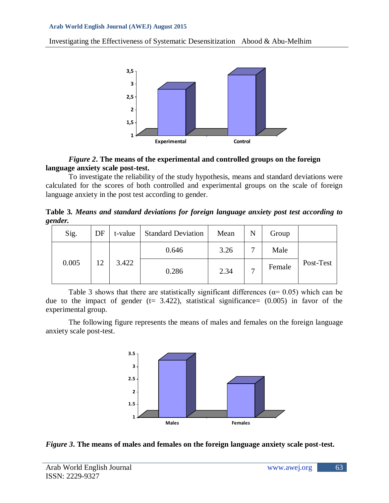Investigating the Effectiveness of Systematic Desensitization Abood & Abu-Melhim



### *Figure 2***. The means of the experimental and controlled groups on the foreign language anxiety scale post-test.**

To investigate the reliability of the study hypothesis, means and standard deviations were calculated for the scores of both controlled and experimental groups on the scale of foreign language anxiety in the post test according to gender.

**Table 3***. Means and standard deviations for foreign language anxiety post test according to gender.*

| Sig.  | DF | t-value | <b>Standard Deviation</b> | Mean | N            | Group  |           |
|-------|----|---------|---------------------------|------|--------------|--------|-----------|
|       |    |         | 0.646                     | 3.26 | $\mathbf{r}$ | Male   |           |
| 0.005 | 12 | 3.422   | 0.286                     | 2.34 | $\mathbf{r}$ | Female | Post-Test |

Table 3 shows that there are statistically significant differences ( $\alpha$ = 0.05) which can be due to the impact of gender ( $t= 3.422$ ), statistical significance=  $(0.005)$  in favor of the experimental group.

The following figure represents the means of males and females on the foreign language anxiety scale post-test.



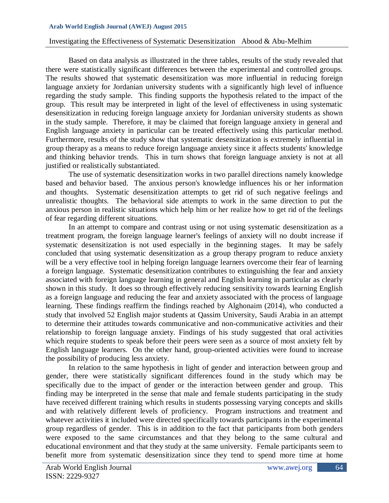#### Investigating the Effectiveness of Systematic Desensitization Abood & Abu-Melhim

Based on data analysis as illustrated in the three tables, results of the study revealed that there were statistically significant differences between the experimental and controlled groups. The results showed that systematic desensitization was more influential in reducing foreign language anxiety for Jordanian university students with a significantly high level of influence regarding the study sample. This finding supports the hypothesis related to the impact of the group. This result may be interpreted in light of the level of effectiveness in using systematic desensitization in reducing foreign language anxiety for Jordanian university students as shown in the study sample. Therefore, it may be claimed that foreign language anxiety in general and English language anxiety in particular can be treated effectively using this particular method. Furthermore, results of the study show that systematic desensitization is extremely influential in group therapy as a means to reduce foreign language anxiety since it affects students' knowledge and thinking behavior trends. This in turn shows that foreign language anxiety is not at all justified or realistically substantiated.

The use of systematic desensitization works in two parallel directions namely knowledge based and behavior based. The anxious person's knowledge influences his or her information and thoughts. Systematic desensitization attempts to get rid of such negative feelings and unrealistic thoughts. The behavioral side attempts to work in the same direction to put the anxious person in realistic situations which help him or her realize how to get rid of the feelings of fear regarding different situations.

In an attempt to compare and contrast using or not using systematic desensitization as a treatment program, the foreign language learner's feelings of anxiety will no doubt increase if systematic desensitization is not used especially in the beginning stages. It may be safely concluded that using systematic desensitization as a group therapy program to reduce anxiety will be a very effective tool in helping foreign language learners overcome their fear of learning a foreign language. Systematic desensitization contributes to extinguishing the fear and anxiety associated with foreign language learning in general and English learning in particular as clearly shown in this study. It does so through effectively reducing sensitivity towards learning English as a foreign language and reducing the fear and anxiety associated with the process of language learning. These findings reaffirm the findings reached by Alghonaim (2014), who conducted a study that involved 52 English major students at Qassim University, Saudi Arabia in an attempt to determine their attitudes towards communicative and non-communicative activities and their relationship to foreign language anxiety. Findings of his study suggested that oral activities which require students to speak before their peers were seen as a source of most anxiety felt by English language learners. On the other hand, group-oriented activities were found to increase the possibility of producing less anxiety.

In relation to the same hypothesis in light of gender and interaction between group and gender, there were statistically significant differences found in the study which may be specifically due to the impact of gender or the interaction between gender and group. This finding may be interpreted in the sense that male and female students participating in the study have received different training which results in students possessing varying concepts and skills and with relatively different levels of proficiency. Program instructions and treatment and whatever activities it included were directed specifically towards participants in the experimental group regardless of gender. This is in addition to the fact that participants from both genders were exposed to the same circumstances and that they belong to the same cultural and educational environment and that they study at the same university. Female participants seem to benefit more from systematic desensitization since they tend to spend more time at home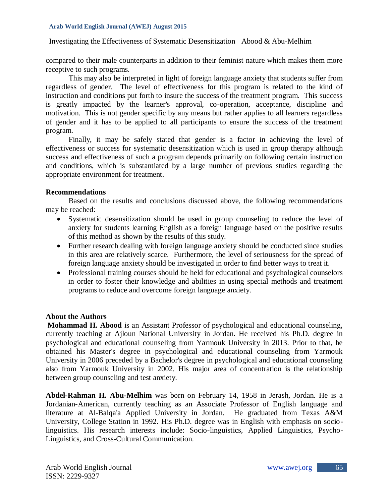### Investigating the Effectiveness of Systematic Desensitization Abood & Abu-Melhim

compared to their male counterparts in addition to their feminist nature which makes them more receptive to such programs.

This may also be interpreted in light of foreign language anxiety that students suffer from regardless of gender. The level of effectiveness for this program is related to the kind of instruction and conditions put forth to insure the success of the treatment program. This success is greatly impacted by the learner's approval, co-operation, acceptance, discipline and motivation. This is not gender specific by any means but rather applies to all learners regardless of gender and it has to be applied to all participants to ensure the success of the treatment program.

Finally, it may be safely stated that gender is a factor in achieving the level of effectiveness or success for systematic desensitization which is used in group therapy although success and effectiveness of such a program depends primarily on following certain instruction and conditions, which is substantiated by a large number of previous studies regarding the appropriate environment for treatment.

## **Recommendations**

Based on the results and conclusions discussed above, the following recommendations may be reached:

- Systematic desensitization should be used in group counseling to reduce the level of anxiety for students learning English as a foreign language based on the positive results of this method as shown by the results of this study.
- Further research dealing with foreign language anxiety should be conducted since studies in this area are relatively scarce. Furthermore, the level of seriousness for the spread of foreign language anxiety should be investigated in order to find better ways to treat it.
- Professional training courses should be held for educational and psychological counselors in order to foster their knowledge and abilities in using special methods and treatment programs to reduce and overcome foreign language anxiety.

# **About the Authors**

**Mohammad H. Abood** is an Assistant Professor of psychological and educational counseling, currently teaching at Ajloun National University in Jordan. He received his Ph.D. degree in psychological and educational counseling from Yarmouk University in 2013. Prior to that, he obtained his Master's degree in psychological and educational counseling from Yarmouk University in 2006 preceded by a Bachelor's degree in psychological and educational counseling also from Yarmouk University in 2002. His major area of concentration is the relationship between group counseling and test anxiety.

**Abdel-Rahman H. Abu-Melhim** was born on February 14, 1958 in Jerash, Jordan. He is a Jordanian-American, currently teaching as an Associate Professor of English language and literature at Al-Balqa'a Applied University in Jordan. He graduated from Texas A&M University, College Station in 1992. His Ph.D. degree was in English with emphasis on sociolinguistics. His research interests include: Socio-linguistics, Applied Linguistics, Psycho-Linguistics, and Cross-Cultural Communication.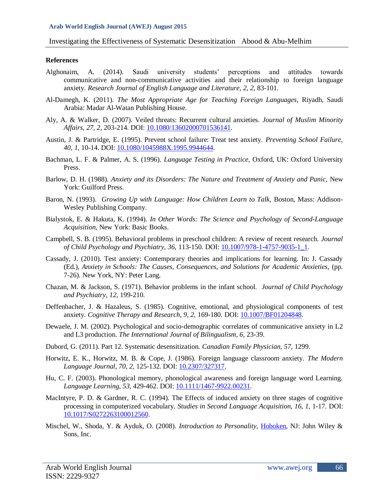#### **References**

- Alghonaim, A. (2014). Saudi university students' perceptions and attitudes towards communicative and non-communicative activities and their relationship to foreign language anxiety. *Research Journal of English Language and Literature, 2, 2,* 83-101.
- Al-Damegh, K. (2011). *The Most Appropriate Age for Teaching Foreign Languages,* Riyadh, Saudi Arabia: Madar Al-Watan Publishing House.
- Aly, A. & Walker, D. (2007). Veiled threats: Recurrent cultural anxieties. *Journal of Muslim Minority Affairs, 27, 2,* 203-214. DOI: [10.1080/13602000701536141.](http://dx.doi.org/10.1080/13602000701536141)
- Austin, J. & Partridge, E. (1995). Prevent school failure: Treat test anxiety. *Preventing School Failure, 40, 1,* 10-14. DOI: [10.1080/1045988X.1995.9944644.](http://dx.doi.org/10.1080/1045988X.1995.9944644)
- Bachman, L. F. & Palmer, A. S. (1996). *Language Testing in Practice,* Oxford, UK: Oxford University Press.
- Barlow, D. H. (1988). *Anxiety and its Disorders: The Nature and Treatment of Anxiety and Panic,* New York: Guilford Press.
- Baron, N. (1993). *Growing Up with Language: How Children Learn to Talk, Boston, Mass: Addison-*Wesley Publishing Company.
- Bialystok, E. & Hakuta, K. (1994). *In Other Words: The Science and Psychology of Second-Language Acquisition,* New York: Basic Books.
- Campbell, S. B. (1995). Behavioral problems in preschool children: A review of recent research. *Journal of Child Psychology and Psychiatry, 36,* 113-150. DOI: [10.1007/978-1-4757-9035-1\\_1.](http://dx.doi.org/10.1007/978-1-4757-9035-1_1)
- Cassady, J. (2010). Test anxiety: Contemporary theories and implications for learning. In: J. Cassady (Ed.), *Anxiety in Schools: The Causes, Consequences, and Solutions for Academic Anxieties,* (pp. 7-26). New York, NY: Peter Lang.
- Chazan, M. & Jackson, S. (1971). Behavior problems in the infant school. *Journal of Child Psychology and Psychiatry, 12,* 199-210.
- Deffenbacher, J. & Hazaleus, S. (1985). Cognitive, emotional, and physiological components of test anxiety. *Cognitive Therapy and Research, 9, 2,* 169-180. DOI: [10.1007/BF01204848.](http://dx.doi.org/10.1007/BF01204848)
- Dewaele, J. M. (2002). Psychological and socio-demographic correlates of communicative anxiety in L2 and L3 production. *The International Journal of Bilingualism, 6,* 23-39.
- Dubord, G. (2011). Part 12. Systematic desensitization. *Canadian Family Physician, 57,* 1299.
- Horwitz, E. K., Horwitz, M. B. & Cope, J. (1986). Foreign language classroom anxiety. *The Modern Language Journal, 70, 2,* 125-132. DOI: [10.2307/327317.](http://dx.doi.org/10.2307/327317)
- Hu, C. F. (2003). Phonological memory, phonological awareness and foreign language word Learning. *Language Learning, 53,* 429-462. DOI: [10.1111/1467-9922.00231.](http://dx.doi.org/10.1111/1467-9922.00231)
- MacIntyre, P. D. & Gardner, R. C. (1994). The Effects of induced anxiety on three stages of cognitive processing in computerized vocabulary. *Studies in Second Language Acquisition, 16, 1,* 1-17. DOI: [10.1017/S0272263100012560.](http://dx.doi.org/10.1017/S0272263100012560)
- Mischel, W., Shoda, Y. & Ayduk, O. (2008). *Introduction to Personality,* [Hoboken,](http://en.wikipedia.org/wiki/Hoboken,_New_Jersey) NJ: John Wiley & Sons, Inc.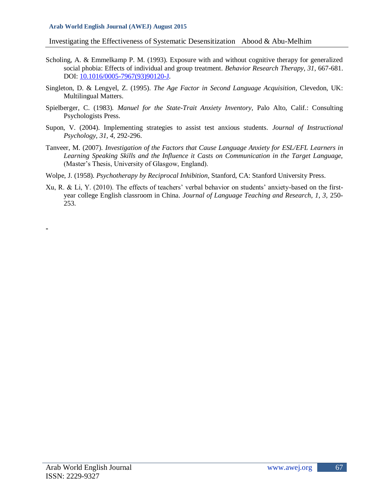Investigating the Effectiveness of Systematic Desensitization Abood & Abu-Melhim

- Scholing, A. & Emmelkamp P. M. (1993). Exposure with and without cognitive therapy for generalized social phobia: Effects of individual and group treatment. *Behavior Research Therapy, 31,* 667-681. DOI: [10.1016/0005-7967\(93\)90120-J.](http://dx.doi.org/10.1016/0005-7967%2893%2990120-J)
- Singleton, D. & Lengyel, Z. (1995). *The Age Factor in Second Language Acquisition,* Clevedon, UK: Multilingual Matters.
- Spielberger, C. (1983). *Manuel for the State-Trait Anxiety Inventory,* Palo Alto, Calif.: Consulting Psychologists Press.
- Supon, V. (2004). Implementing strategies to assist test anxious students. *Journal of Instructional Psychology, 31, 4,* 292-296.
- Tanveer, M. (2007). *Investigation of the Factors that Cause Language Anxiety for ESL/EFL Learners in Learning Speaking Skills and the Influence it Casts on Communication in the Target Language,*  (Master's Thesis, University of Glasgow, England).
- Wolpe, J. (1958). *Psychotherapy by Reciprocal Inhibition,* Stanford, CA: Stanford University Press.
- Xu, R. & Li, Y. (2010). The effects of teachers' verbal behavior on students' anxiety-based on the firstyear college English classroom in China. *Journal of Language Teaching and Research, 1, 3,* 250- 253.

**-**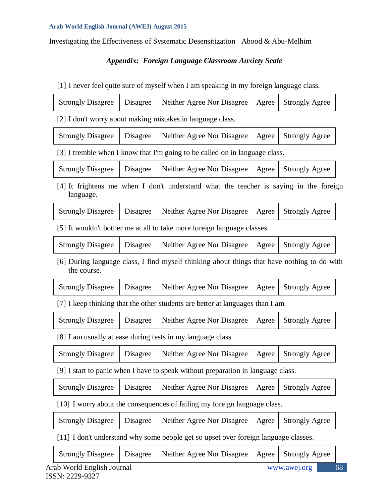Investigating the Effectiveness of Systematic Desensitization Abood & Abu-Melhim

# *Appendix: Foreign Language Classroom Anxiety Scale*

[1] I never feel quite sure of myself when I am speaking in my foreign language class.

| <b>Strongly Disagree</b>                                                                                   | Disagree | Neither Agree Nor Disagree                                                          | Agree | <b>Strongly Agree</b> |  |  |  |
|------------------------------------------------------------------------------------------------------------|----------|-------------------------------------------------------------------------------------|-------|-----------------------|--|--|--|
| [2] I don't worry about making mistakes in language class.                                                 |          |                                                                                     |       |                       |  |  |  |
| <b>Strongly Disagree</b>                                                                                   | Disagree | Neither Agree Nor Disagree                                                          | Agree | <b>Strongly Agree</b> |  |  |  |
| [3] I tremble when I know that I'm going to be called on in language class.                                |          |                                                                                     |       |                       |  |  |  |
| <b>Strongly Disagree</b>                                                                                   | Disagree | Neither Agree Nor Disagree                                                          | Agree | <b>Strongly Agree</b> |  |  |  |
| [4] It frightens me when I don't understand what the teacher is saying in the foreign<br>language.         |          |                                                                                     |       |                       |  |  |  |
| <b>Strongly Disagree</b>                                                                                   | Disagree | Neither Agree Nor Disagree                                                          | Agree | <b>Strongly Agree</b> |  |  |  |
|                                                                                                            |          | [5] It wouldn't bother me at all to take more foreign language classes.             |       |                       |  |  |  |
| <b>Strongly Disagree</b>                                                                                   | Disagree | Neither Agree Nor Disagree                                                          | Agree | <b>Strongly Agree</b> |  |  |  |
| [6] During language class, I find myself thinking about things that have nothing to do with<br>the course. |          |                                                                                     |       |                       |  |  |  |
| <b>Strongly Disagree</b>                                                                                   | Disagree | Neither Agree Nor Disagree                                                          | Agree | <b>Strongly Agree</b> |  |  |  |
|                                                                                                            |          | [7] I keep thinking that the other students are better at languages than I am.      |       |                       |  |  |  |
| <b>Strongly Disagree</b>                                                                                   | Disagree | Neither Agree Nor Disagree                                                          | Agree | <b>Strongly Agree</b> |  |  |  |
|                                                                                                            |          | [8] I am usually at ease during tests in my language class.                         |       |                       |  |  |  |
| <b>Strongly Disagree</b>                                                                                   | Disagree | Neither Agree Nor Disagree                                                          | Agree | <b>Strongly Agree</b> |  |  |  |
| [9] I start to panic when I have to speak without preparation in language class.                           |          |                                                                                     |       |                       |  |  |  |
| <b>Strongly Disagree</b>                                                                                   | Disagree | Neither Agree Nor Disagree                                                          | Agree | <b>Strongly Agree</b> |  |  |  |
| [10] I worry about the consequences of failing my foreign language class.                                  |          |                                                                                     |       |                       |  |  |  |
| <b>Strongly Disagree</b>                                                                                   | Disagree | Neither Agree Nor Disagree                                                          | Agree | <b>Strongly Agree</b> |  |  |  |
|                                                                                                            |          | [11] I don't understand why some people get so upset over foreign language classes. |       |                       |  |  |  |
| <b>Strongly Disagree</b>                                                                                   | Disagree | Neither Agree Nor Disagree                                                          | Agree | <b>Strongly Agree</b> |  |  |  |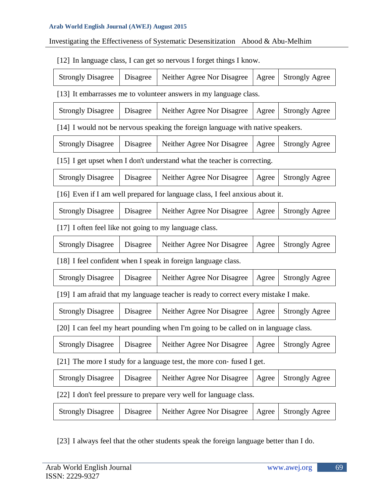# Investigating the Effectiveness of Systematic Desensitization Abood & Abu-Melhim

[12] In language class, I can get so nervous I forget things I know.

| <b>Strongly Disagree</b>                                             | Disagree | Neither Agree Nor Disagree                                                          | Agree | <b>Strongly Agree</b> |  |  |
|----------------------------------------------------------------------|----------|-------------------------------------------------------------------------------------|-------|-----------------------|--|--|
| [13] It embarrasses me to volunteer answers in my language class.    |          |                                                                                     |       |                       |  |  |
| <b>Strongly Disagree</b>                                             | Disagree | Neither Agree Nor Disagree                                                          | Agree | <b>Strongly Agree</b> |  |  |
|                                                                      |          | [14] I would not be nervous speaking the foreign language with native speakers.     |       |                       |  |  |
| <b>Strongly Disagree</b>                                             | Disagree | Neither Agree Nor Disagree                                                          | Agree | <b>Strongly Agree</b> |  |  |
|                                                                      |          | [15] I get upset when I don't understand what the teacher is correcting.            |       |                       |  |  |
| <b>Strongly Disagree</b>                                             | Disagree | Neither Agree Nor Disagree                                                          | Agree | <b>Strongly Agree</b> |  |  |
|                                                                      |          | [16] Even if I am well prepared for language class, I feel anxious about it.        |       |                       |  |  |
| <b>Strongly Disagree</b>                                             | Disagree | Neither Agree Nor Disagree                                                          | Agree | <b>Strongly Agree</b> |  |  |
| [17] I often feel like not going to my language class.               |          |                                                                                     |       |                       |  |  |
| <b>Strongly Disagree</b>                                             | Disagree | Neither Agree Nor Disagree                                                          | Agree | <b>Strongly Agree</b> |  |  |
|                                                                      |          | [18] I feel confident when I speak in foreign language class.                       |       |                       |  |  |
| <b>Strongly Disagree</b>                                             | Disagree | Neither Agree Nor Disagree                                                          | Agree | <b>Strongly Agree</b> |  |  |
|                                                                      |          | [19] I am afraid that my language teacher is ready to correct every mistake I make. |       |                       |  |  |
| <b>Strongly Disagree</b>                                             | Disagree | Neither Agree Nor Disagree                                                          | Agree | <b>Strongly Agree</b> |  |  |
|                                                                      |          | [20] I can feel my heart pounding when I'm going to be called on in language class. |       |                       |  |  |
| <b>Strongly Disagree</b>                                             | Disagree | Neither Agree Nor Disagree                                                          | Agree | <b>Strongly Agree</b> |  |  |
| [21] The more I study for a language test, the more con-fused I get. |          |                                                                                     |       |                       |  |  |
| <b>Strongly Disagree</b>                                             | Disagree | Neither Agree Nor Disagree                                                          | Agree | <b>Strongly Agree</b> |  |  |
|                                                                      |          | [22] I don't feel pressure to prepare very well for language class.                 |       |                       |  |  |
| <b>Strongly Disagree</b>                                             | Disagree | Neither Agree Nor Disagree                                                          | Agree | <b>Strongly Agree</b> |  |  |

[23] I always feel that the other students speak the foreign language better than I do.